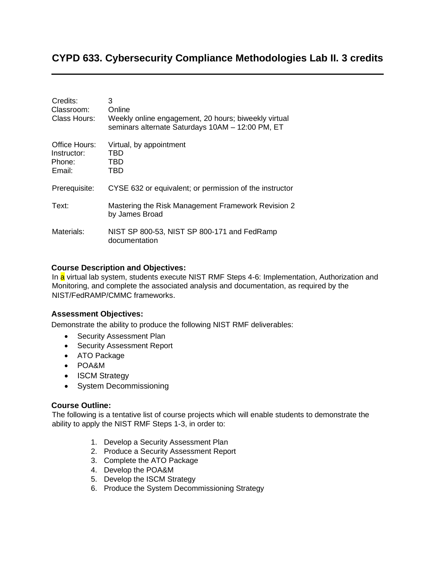# **CYPD 633. Cybersecurity Compliance Methodologies Lab II. 3 credits**

| Credits:<br>Classroom:<br>Class Hours:           | 3<br>Online<br>Weekly online engagement, 20 hours; biweekly virtual<br>seminars alternate Saturdays 10AM - 12:00 PM, ET |
|--------------------------------------------------|-------------------------------------------------------------------------------------------------------------------------|
| Office Hours:<br>Instructor:<br>Phone:<br>Email: | Virtual, by appointment<br>TBD<br>TBD<br>TBD                                                                            |
| Prerequisite:                                    | CYSE 632 or equivalent; or permission of the instructor                                                                 |
| Text:                                            | Mastering the Risk Management Framework Revision 2<br>by James Broad                                                    |
| Materials:                                       | NIST SP 800-53, NIST SP 800-171 and FedRamp<br>documentation                                                            |

### **Course Description and Objectives:**

In a virtual lab system, students execute NIST RMF Steps 4-6: Implementation, Authorization and Monitoring, and complete the associated analysis and documentation, as required by the NIST/FedRAMP/CMMC frameworks.

#### **Assessment Objectives:**

Demonstrate the ability to produce the following NIST RMF deliverables:

- Security Assessment Plan
- Security Assessment Report
- ATO Package
- POA&M
- **ISCM Strategy**
- System Decommissioning

#### **Course Outline:**

The following is a tentative list of course projects which will enable students to demonstrate the ability to apply the NIST RMF Steps 1-3, in order to:

- 1. Develop a Security Assessment Plan
- 2. Produce a Security Assessment Report
- 3. Complete the ATO Package
- 4. Develop the POA&M
- 5. Develop the ISCM Strategy
- 6. Produce the System Decommissioning Strategy